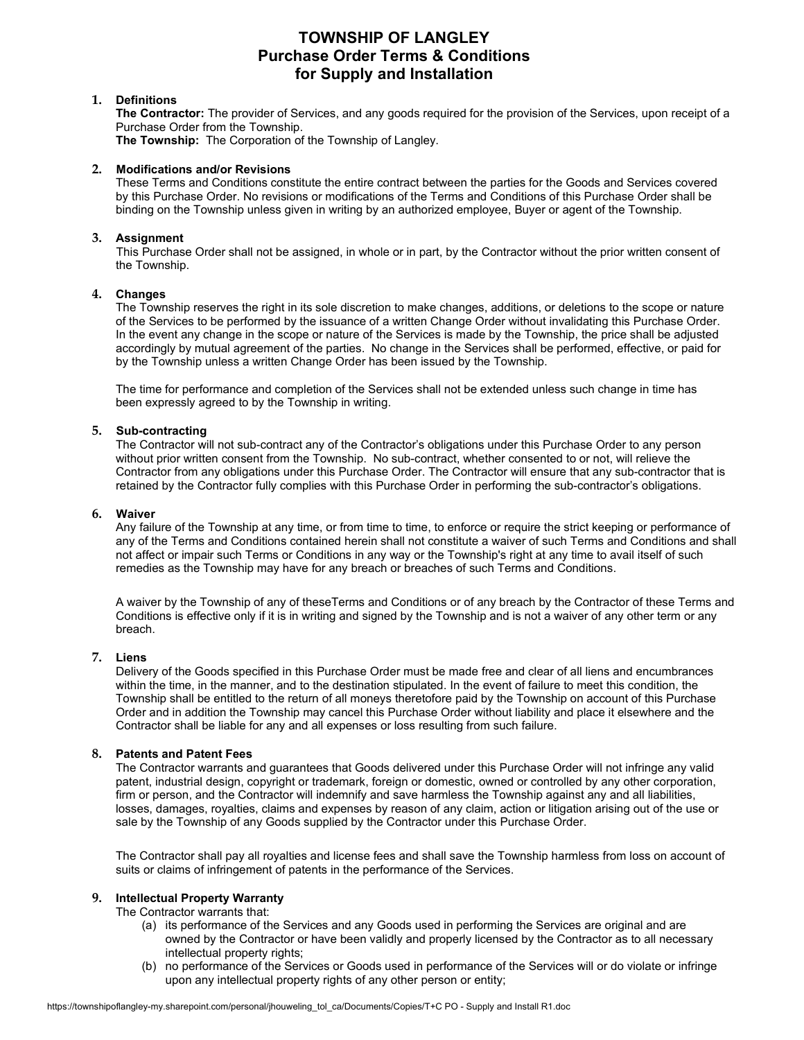# **TOWNSHIP OF LANGLEY Purchase Order Terms & Conditions for Supply and Installation**

# **1. Definitions**

**The Contractor:** The provider of Services, and any goods required for the provision of the Services, upon receipt of a Purchase Order from the Township.

**The Township:** The Corporation of the Township of Langley.

### **2. Modifications and/or Revisions**

These Terms and Conditions constitute the entire contract between the parties for the Goods and Services covered by this Purchase Order. No revisions or modifications of the Terms and Conditions of this Purchase Order shall be binding on the Township unless given in writing by an authorized employee, Buyer or agent of the Township.

# **3. Assignment**

This Purchase Order shall not be assigned, in whole or in part, by the Contractor without the prior written consent of the Township.

# **4. Changes**

The Township reserves the right in its sole discretion to make changes, additions, or deletions to the scope or nature of the Services to be performed by the issuance of a written Change Order without invalidating this Purchase Order. In the event any change in the scope or nature of the Services is made by the Township, the price shall be adjusted accordingly by mutual agreement of the parties. No change in the Services shall be performed, effective, or paid for by the Township unless a written Change Order has been issued by the Township.

The time for performance and completion of the Services shall not be extended unless such change in time has been expressly agreed to by the Township in writing.

# **5. Sub-contracting**

The Contractor will not sub-contract any of the Contractor's obligations under this Purchase Order to any person without prior written consent from the Township. No sub-contract, whether consented to or not, will relieve the Contractor from any obligations under this Purchase Order. The Contractor will ensure that any sub-contractor that is retained by the Contractor fully complies with this Purchase Order in performing the sub-contractor's obligations.

#### **6. Waiver**

Any failure of the Township at any time, or from time to time, to enforce or require the strict keeping or performance of any of the Terms and Conditions contained herein shall not constitute a waiver of such Terms and Conditions and shall not affect or impair such Terms or Conditions in any way or the Township's right at any time to avail itself of such remedies as the Township may have for any breach or breaches of such Terms and Conditions.

A waiver by the Township of any of theseTerms and Conditions or of any breach by the Contractor of these Terms and Conditions is effective only if it is in writing and signed by the Township and is not a waiver of any other term or any breach.

# **7. Liens**

Delivery of the Goods specified in this Purchase Order must be made free and clear of all liens and encumbrances within the time, in the manner, and to the destination stipulated. In the event of failure to meet this condition, the Township shall be entitled to the return of all moneys theretofore paid by the Township on account of this Purchase Order and in addition the Township may cancel this Purchase Order without liability and place it elsewhere and the Contractor shall be liable for any and all expenses or loss resulting from such failure.

# **8. Patents and Patent Fees**

The Contractor warrants and guarantees that Goods delivered under this Purchase Order will not infringe any valid patent, industrial design, copyright or trademark, foreign or domestic, owned or controlled by any other corporation, firm or person, and the Contractor will indemnify and save harmless the Township against any and all liabilities, losses, damages, royalties, claims and expenses by reason of any claim, action or litigation arising out of the use or sale by the Township of any Goods supplied by the Contractor under this Purchase Order.

The Contractor shall pay all royalties and license fees and shall save the Township harmless from loss on account of suits or claims of infringement of patents in the performance of the Services.

# **9. Intellectual Property Warranty**

The Contractor warrants that:

- (a) its performance of the Services and any Goods used in performing the Services are original and are owned by the Contractor or have been validly and properly licensed by the Contractor as to all necessary intellectual property rights;
- (b) no performance of the Services or Goods used in performance of the Services will or do violate or infringe upon any intellectual property rights of any other person or entity;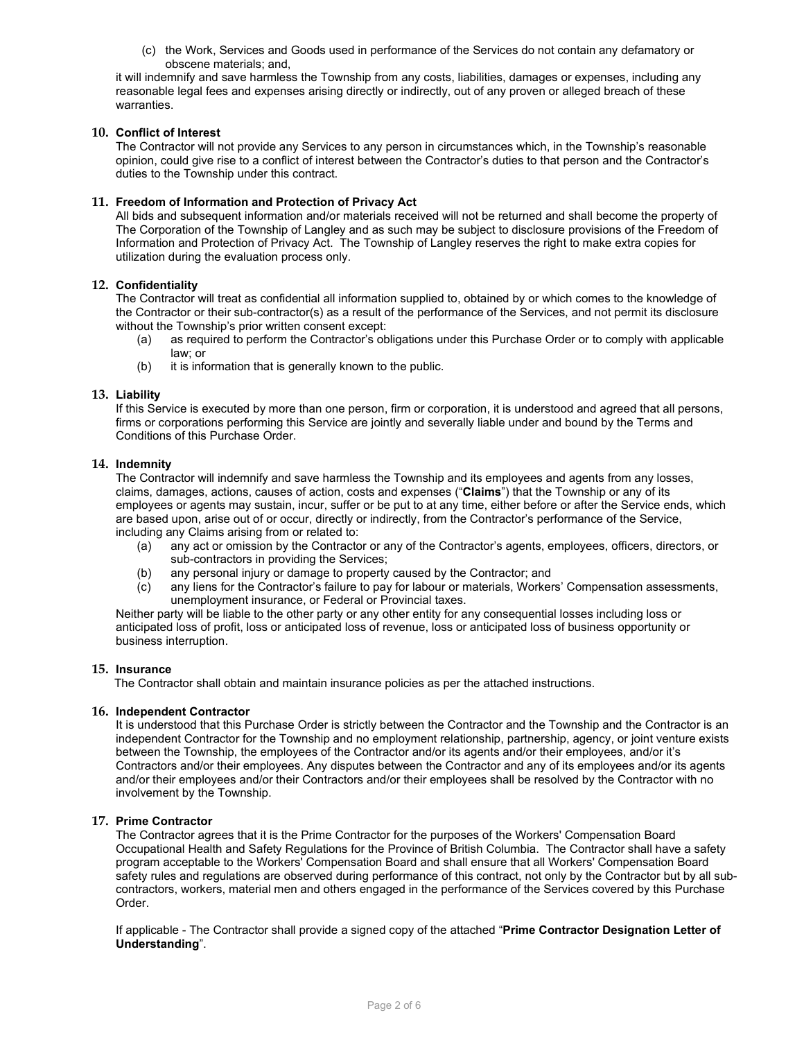(c) the Work, Services and Goods used in performance of the Services do not contain any defamatory or obscene materials; and,

it will indemnify and save harmless the Township from any costs, liabilities, damages or expenses, including any reasonable legal fees and expenses arising directly or indirectly, out of any proven or alleged breach of these warranties.

# **10. Conflict of Interest**

The Contractor will not provide any Services to any person in circumstances which, in the Township's reasonable opinion, could give rise to a conflict of interest between the Contractor's duties to that person and the Contractor's duties to the Township under this contract.

# **11. Freedom of Information and Protection of Privacy Act**

All bids and subsequent information and/or materials received will not be returned and shall become the property of The Corporation of the Township of Langley and as such may be subject to disclosure provisions of the Freedom of Information and Protection of Privacy Act. The Township of Langley reserves the right to make extra copies for utilization during the evaluation process only.

# **12. Confidentiality**

The Contractor will treat as confidential all information supplied to, obtained by or which comes to the knowledge of the Contractor or their sub-contractor(s) as a result of the performance of the Services, and not permit its disclosure without the Township's prior written consent except:

- (a) as required to perform the Contractor's obligations under this Purchase Order or to comply with applicable law; or
- (b) it is information that is generally known to the public.

# **13. Liability**

If this Service is executed by more than one person, firm or corporation, it is understood and agreed that all persons, firms or corporations performing this Service are jointly and severally liable under and bound by the Terms and Conditions of this Purchase Order.

# **14. Indemnity**

The Contractor will indemnify and save harmless the Township and its employees and agents from any losses, claims, damages, actions, causes of action, costs and expenses ("**Claims**") that the Township or any of its employees or agents may sustain, incur, suffer or be put to at any time, either before or after the Service ends, which are based upon, arise out of or occur, directly or indirectly, from the Contractor's performance of the Service, including any Claims arising from or related to:

- (a) any act or omission by the Contractor or any of the Contractor's agents, employees, officers, directors, or sub-contractors in providing the Services;
- (b) any personal injury or damage to property caused by the Contractor; and
- (c) any liens for the Contractor's failure to pay for labour or materials, Workers' Compensation assessments, unemployment insurance, or Federal or Provincial taxes.

Neither party will be liable to the other party or any other entity for any consequential losses including loss or anticipated loss of profit, loss or anticipated loss of revenue, loss or anticipated loss of business opportunity or business interruption.

# **15. Insurance**

The Contractor shall obtain and maintain insurance policies as per the attached instructions.

# **16. Independent Contractor**

It is understood that this Purchase Order is strictly between the Contractor and the Township and the Contractor is an independent Contractor for the Township and no employment relationship, partnership, agency, or joint venture exists between the Township, the employees of the Contractor and/or its agents and/or their employees, and/or it's Contractors and/or their employees. Any disputes between the Contractor and any of its employees and/or its agents and/or their employees and/or their Contractors and/or their employees shall be resolved by the Contractor with no involvement by the Township.

# **17. Prime Contractor**

The Contractor agrees that it is the Prime Contractor for the purposes of the Workers' Compensation Board Occupational Health and Safety Regulations for the Province of British Columbia. The Contractor shall have a safety program acceptable to the Workers' Compensation Board and shall ensure that all Workers' Compensation Board safety rules and regulations are observed during performance of this contract, not only by the Contractor but by all subcontractors, workers, material men and others engaged in the performance of the Services covered by this Purchase Order.

If applicable - The Contractor shall provide a signed copy of the attached "**Prime Contractor Designation Letter of Understanding**".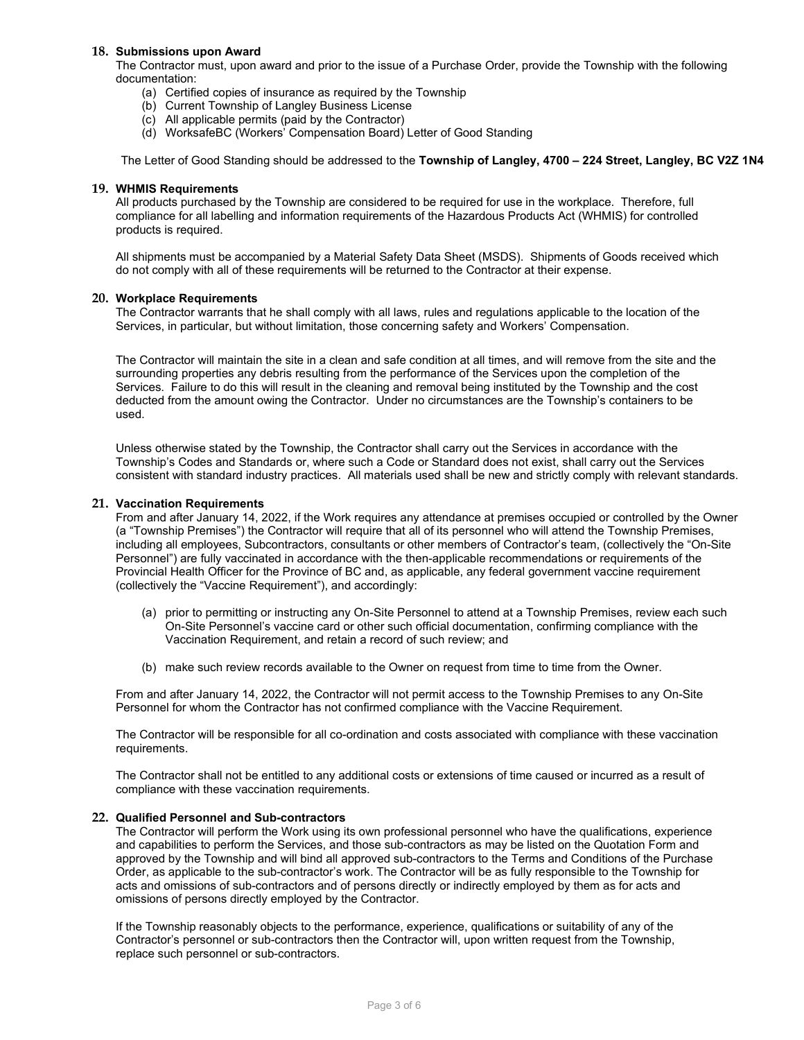### **18. Submissions upon Award**

The Contractor must, upon award and prior to the issue of a Purchase Order, provide the Township with the following documentation:

- (a) Certified copies of insurance as required by the Township
- (b) Current Township of Langley Business License
- (c) All applicable permits (paid by the Contractor)
- (d) WorksafeBC (Workers' Compensation Board) Letter of Good Standing

The Letter of Good Standing should be addressed to the **Township of Langley, 4700 – 224 Street, Langley, BC V2Z 1N4**

#### **19. WHMIS Requirements**

All products purchased by the Township are considered to be required for use in the workplace. Therefore, full compliance for all labelling and information requirements of the Hazardous Products Act (WHMIS) for controlled products is required.

All shipments must be accompanied by a Material Safety Data Sheet (MSDS). Shipments of Goods received which do not comply with all of these requirements will be returned to the Contractor at their expense.

#### **20. Workplace Requirements**

The Contractor warrants that he shall comply with all laws, rules and regulations applicable to the location of the Services, in particular, but without limitation, those concerning safety and Workers' Compensation.

The Contractor will maintain the site in a clean and safe condition at all times, and will remove from the site and the surrounding properties any debris resulting from the performance of the Services upon the completion of the Services. Failure to do this will result in the cleaning and removal being instituted by the Township and the cost deducted from the amount owing the Contractor. Under no circumstances are the Township's containers to be used.

Unless otherwise stated by the Township, the Contractor shall carry out the Services in accordance with the Township's Codes and Standards or, where such a Code or Standard does not exist, shall carry out the Services consistent with standard industry practices. All materials used shall be new and strictly comply with relevant standards.

#### **21. Vaccination Requirements**

From and after January 14, 2022, if the Work requires any attendance at premises occupied or controlled by the Owner (a "Township Premises") the Contractor will require that all of its personnel who will attend the Township Premises, including all employees, Subcontractors, consultants or other members of Contractor's team, (collectively the "On-Site Personnel") are fully vaccinated in accordance with the then-applicable recommendations or requirements of the Provincial Health Officer for the Province of BC and, as applicable, any federal government vaccine requirement (collectively the "Vaccine Requirement"), and accordingly:

- (a) prior to permitting or instructing any On-Site Personnel to attend at a Township Premises, review each such On-Site Personnel's vaccine card or other such official documentation, confirming compliance with the Vaccination Requirement, and retain a record of such review; and
- (b) make such review records available to the Owner on request from time to time from the Owner.

From and after January 14, 2022, the Contractor will not permit access to the Township Premises to any On-Site Personnel for whom the Contractor has not confirmed compliance with the Vaccine Requirement.

The Contractor will be responsible for all co-ordination and costs associated with compliance with these vaccination requirements.

The Contractor shall not be entitled to any additional costs or extensions of time caused or incurred as a result of compliance with these vaccination requirements.

#### **22. Qualified Personnel and Sub-contractors**

The Contractor will perform the Work using its own professional personnel who have the qualifications, experience and capabilities to perform the Services, and those sub-contractors as may be listed on the Quotation Form and approved by the Township and will bind all approved sub-contractors to the Terms and Conditions of the Purchase Order, as applicable to the sub-contractor's work. The Contractor will be as fully responsible to the Township for acts and omissions of sub-contractors and of persons directly or indirectly employed by them as for acts and omissions of persons directly employed by the Contractor.

If the Township reasonably objects to the performance, experience, qualifications or suitability of any of the Contractor's personnel or sub-contractors then the Contractor will, upon written request from the Township, replace such personnel or sub-contractors.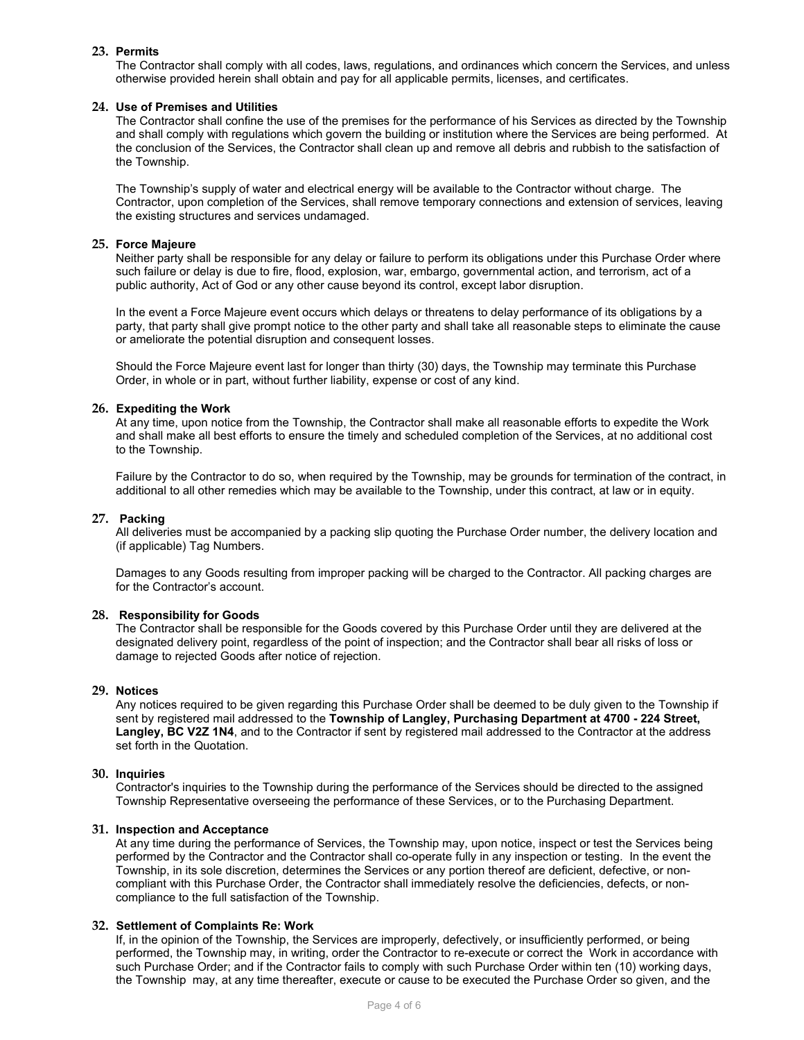# **23. Permits**

The Contractor shall comply with all codes, laws, regulations, and ordinances which concern the Services, and unless otherwise provided herein shall obtain and pay for all applicable permits, licenses, and certificates.

# **24. Use of Premises and Utilities**

The Contractor shall confine the use of the premises for the performance of his Services as directed by the Township and shall comply with regulations which govern the building or institution where the Services are being performed. At the conclusion of the Services, the Contractor shall clean up and remove all debris and rubbish to the satisfaction of the Township.

The Township's supply of water and electrical energy will be available to the Contractor without charge. The Contractor, upon completion of the Services, shall remove temporary connections and extension of services, leaving the existing structures and services undamaged.

# **25. Force Majeure**

Neither party shall be responsible for any delay or failure to perform its obligations under this Purchase Order where such failure or delay is due to fire, flood, explosion, war, embargo, governmental action, and terrorism, act of a public authority, Act of God or any other cause beyond its control, except labor disruption.

In the event a Force Majeure event occurs which delays or threatens to delay performance of its obligations by a party, that party shall give prompt notice to the other party and shall take all reasonable steps to eliminate the cause or ameliorate the potential disruption and consequent losses.

Should the Force Majeure event last for longer than thirty (30) days, the Township may terminate this Purchase Order, in whole or in part, without further liability, expense or cost of any kind.

# **26. Expediting the Work**

At any time, upon notice from the Township, the Contractor shall make all reasonable efforts to expedite the Work and shall make all best efforts to ensure the timely and scheduled completion of the Services, at no additional cost to the Township.

Failure by the Contractor to do so, when required by the Township, may be grounds for termination of the contract, in additional to all other remedies which may be available to the Township, under this contract, at law or in equity.

#### **27. Packing**

All deliveries must be accompanied by a packing slip quoting the Purchase Order number, the delivery location and (if applicable) Tag Numbers.

Damages to any Goods resulting from improper packing will be charged to the Contractor. All packing charges are for the Contractor's account.

# **28. Responsibility for Goods**

The Contractor shall be responsible for the Goods covered by this Purchase Order until they are delivered at the designated delivery point, regardless of the point of inspection; and the Contractor shall bear all risks of loss or damage to rejected Goods after notice of rejection.

# **29. Notices**

Any notices required to be given regarding this Purchase Order shall be deemed to be duly given to the Township if sent by registered mail addressed to the **Township of Langley, Purchasing Department at 4700 - 224 Street, Langley, BC V2Z 1N4**, and to the Contractor if sent by registered mail addressed to the Contractor at the address set forth in the Quotation.

# **30. Inquiries**

Contractor's inquiries to the Township during the performance of the Services should be directed to the assigned Township Representative overseeing the performance of these Services, or to the Purchasing Department.

# **31. Inspection and Acceptance**

At any time during the performance of Services, the Township may, upon notice, inspect or test the Services being performed by the Contractor and the Contractor shall co-operate fully in any inspection or testing. In the event the Township, in its sole discretion, determines the Services or any portion thereof are deficient, defective, or noncompliant with this Purchase Order, the Contractor shall immediately resolve the deficiencies, defects, or noncompliance to the full satisfaction of the Township.

# **32. Settlement of Complaints Re: Work**

If, in the opinion of the Township, the Services are improperly, defectively, or insufficiently performed, or being performed, the Township may, in writing, order the Contractor to re-execute or correct the Work in accordance with such Purchase Order; and if the Contractor fails to comply with such Purchase Order within ten (10) working days, the Township may, at any time thereafter, execute or cause to be executed the Purchase Order so given, and the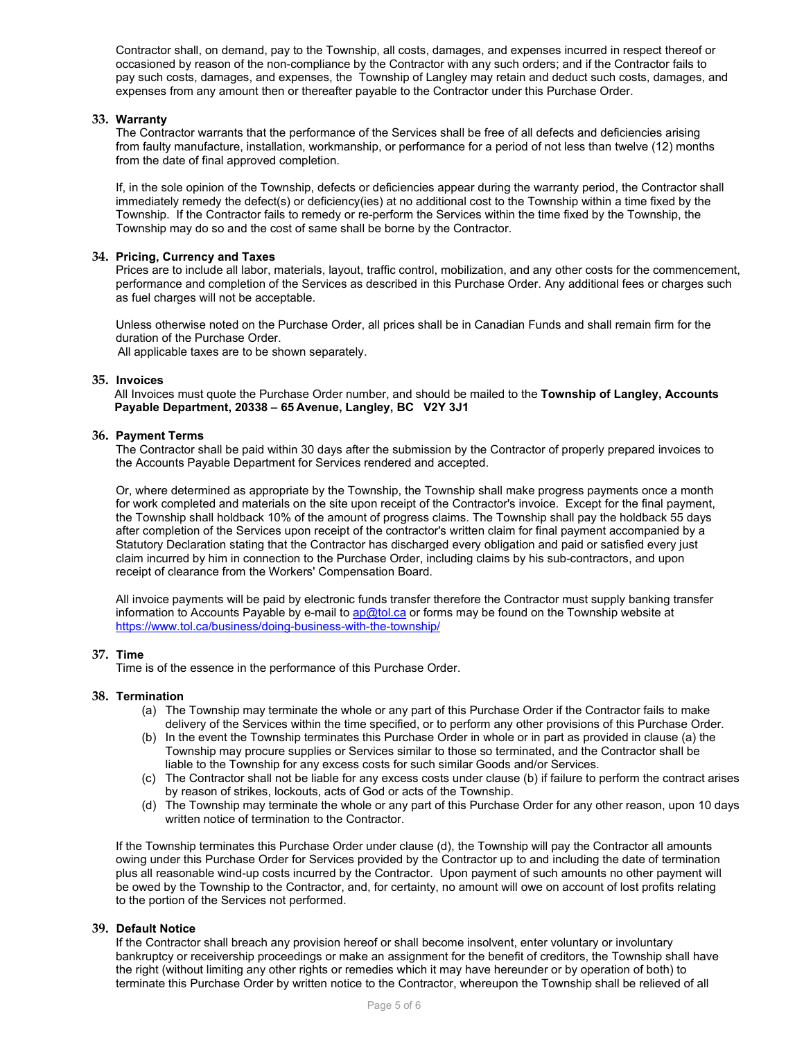Contractor shall, on demand, pay to the Township, all costs, damages, and expenses incurred in respect thereof or occasioned by reason of the non-compliance by the Contractor with any such orders; and if the Contractor fails to pay such costs, damages, and expenses, the Township of Langley may retain and deduct such costs, damages, and expenses from any amount then or thereafter payable to the Contractor under this Purchase Order.

# **33. Warranty**

The Contractor warrants that the performance of the Services shall be free of all defects and deficiencies arising from faulty manufacture, installation, workmanship, or performance for a period of not less than twelve (12) months from the date of final approved completion.

If, in the sole opinion of the Township, defects or deficiencies appear during the warranty period, the Contractor shall immediately remedy the defect(s) or deficiency(ies) at no additional cost to the Township within a time fixed by the Township. If the Contractor fails to remedy or re-perform the Services within the time fixed by the Township, the Township may do so and the cost of same shall be borne by the Contractor.

# **34. Pricing, Currency and Taxes**

Prices are to include all labor, materials, layout, traffic control, mobilization, and any other costs for the commencement, performance and completion of the Services as described in this Purchase Order. Any additional fees or charges such as fuel charges will not be acceptable.

Unless otherwise noted on the Purchase Order, all prices shall be in Canadian Funds and shall remain firm for the duration of the Purchase Order.

All applicable taxes are to be shown separately.

# **35. Invoices**

All Invoices must quote the Purchase Order number, and should be mailed to the **Township of Langley, Accounts Payable Department, 20338 – 65 Avenue, Langley, BC V2Y 3J1**

# **36. Payment Terms**

The Contractor shall be paid within 30 days after the submission by the Contractor of properly prepared invoices to the Accounts Payable Department for Services rendered and accepted.

Or, where determined as appropriate by the Township, the Township shall make progress payments once a month for work completed and materials on the site upon receipt of the Contractor's invoice. Except for the final payment, the Township shall holdback 10% of the amount of progress claims. The Township shall pay the holdback 55 days after completion of the Services upon receipt of the contractor's written claim for final payment accompanied by a Statutory Declaration stating that the Contractor has discharged every obligation and paid or satisfied every just claim incurred by him in connection to the Purchase Order, including claims by his sub-contractors, and upon receipt of clearance from the Workers' Compensation Board.

All invoice payments will be paid by electronic funds transfer therefore the Contractor must supply banking transfer information to Accounts Payable by e-mail to [ap@tol.ca](mailto:ap@tol.ca) or forms may be found on the Township website at <https://www.tol.ca/business/doing-business-with-the-township/>

# **37. Time**

Time is of the essence in the performance of this Purchase Order.

# **38. Termination**

- (a) The Township may terminate the whole or any part of this Purchase Order if the Contractor fails to make delivery of the Services within the time specified, or to perform any other provisions of this Purchase Order.
- (b) In the event the Township terminates this Purchase Order in whole or in part as provided in clause (a) the Township may procure supplies or Services similar to those so terminated, and the Contractor shall be liable to the Township for any excess costs for such similar Goods and/or Services.
- (c) The Contractor shall not be liable for any excess costs under clause (b) if failure to perform the contract arises by reason of strikes, lockouts, acts of God or acts of the Township.
- (d) The Township may terminate the whole or any part of this Purchase Order for any other reason, upon 10 days written notice of termination to the Contractor.

If the Township terminates this Purchase Order under clause (d), the Township will pay the Contractor all amounts owing under this Purchase Order for Services provided by the Contractor up to and including the date of termination plus all reasonable wind-up costs incurred by the Contractor. Upon payment of such amounts no other payment will be owed by the Township to the Contractor, and, for certainty, no amount will owe on account of lost profits relating to the portion of the Services not performed.

# **39. Default Notice**

If the Contractor shall breach any provision hereof or shall become insolvent, enter voluntary or involuntary bankruptcy or receivership proceedings or make an assignment for the benefit of creditors, the Township shall have the right (without limiting any other rights or remedies which it may have hereunder or by operation of both) to terminate this Purchase Order by written notice to the Contractor, whereupon the Township shall be relieved of all